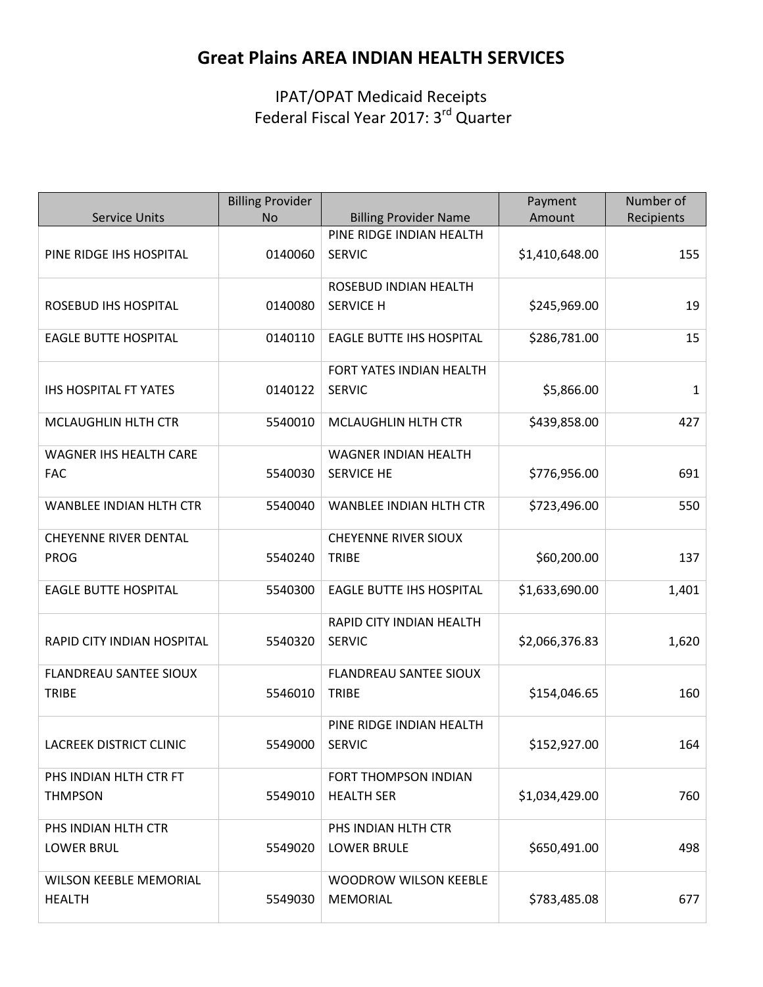# **Great Plains AREA INDIAN HEALTH SERVICES**

IPAT/OPAT Medicaid Receipts Federal Fiscal Year 2017: 3<sup>rd</sup> Quarter

|                                                | <b>Billing Provider</b><br><b>No</b> |                                                          | Payment<br>Amount | Number of  |
|------------------------------------------------|--------------------------------------|----------------------------------------------------------|-------------------|------------|
| <b>Service Units</b>                           |                                      | <b>Billing Provider Name</b><br>PINE RIDGE INDIAN HEALTH |                   | Recipients |
| PINE RIDGE IHS HOSPITAL                        | 0140060                              | <b>SERVIC</b>                                            | \$1,410,648.00    | 155        |
| ROSEBUD IHS HOSPITAL                           | 0140080                              | ROSEBUD INDIAN HEALTH<br><b>SERVICE H</b>                | \$245,969.00      | 19         |
| <b>EAGLE BUTTE HOSPITAL</b>                    | 0140110                              | <b>EAGLE BUTTE IHS HOSPITAL</b>                          | \$286,781.00      | 15         |
| <b>IHS HOSPITAL FT YATES</b>                   | 0140122                              | FORT YATES INDIAN HEALTH<br><b>SERVIC</b>                | \$5,866.00        | 1          |
| MCLAUGHLIN HLTH CTR                            | 5540010                              | MCLAUGHLIN HLTH CTR                                      | \$439,858.00      | 427        |
| <b>WAGNER IHS HEALTH CARE</b>                  |                                      | <b>WAGNER INDIAN HEALTH</b>                              |                   |            |
| <b>FAC</b>                                     | 5540030                              | <b>SERVICE HE</b>                                        | \$776,956.00      | 691        |
| <b>WANBLEE INDIAN HLTH CTR</b>                 | 5540040                              | <b>WANBLEE INDIAN HLTH CTR</b>                           | \$723,496.00      | 550        |
| <b>CHEYENNE RIVER DENTAL</b>                   |                                      | <b>CHEYENNE RIVER SIOUX</b>                              |                   |            |
| <b>PROG</b>                                    | 5540240                              | <b>TRIBE</b>                                             | \$60,200.00       | 137        |
| <b>EAGLE BUTTE HOSPITAL</b>                    | 5540300                              | <b>EAGLE BUTTE IHS HOSPITAL</b>                          | \$1,633,690.00    | 1,401      |
| RAPID CITY INDIAN HOSPITAL                     | 5540320                              | RAPID CITY INDIAN HEALTH<br><b>SERVIC</b>                | \$2,066,376.83    | 1,620      |
| <b>FLANDREAU SANTEE SIOUX</b><br><b>TRIBE</b>  | 5546010                              | <b>FLANDREAU SANTEE SIOUX</b><br><b>TRIBE</b>            | \$154,046.65      | 160        |
| LACREEK DISTRICT CLINIC                        | 5549000                              | PINE RIDGE INDIAN HEALTH<br><b>SERVIC</b>                | \$152,927.00      | 164        |
| PHS INDIAN HLTH CTR FT<br><b>THMPSON</b>       | 5549010                              | FORT THOMPSON INDIAN<br><b>HEALTH SER</b>                | \$1,034,429.00    | 760        |
| PHS INDIAN HLTH CTR<br><b>LOWER BRUL</b>       | 5549020                              | PHS INDIAN HLTH CTR<br><b>LOWER BRULE</b>                | \$650,491.00      | 498        |
| <b>WILSON KEEBLE MEMORIAL</b><br><b>HEALTH</b> | 5549030                              | <b>WOODROW WILSON KEEBLE</b><br><b>MEMORIAL</b>          | \$783,485.08      | 677        |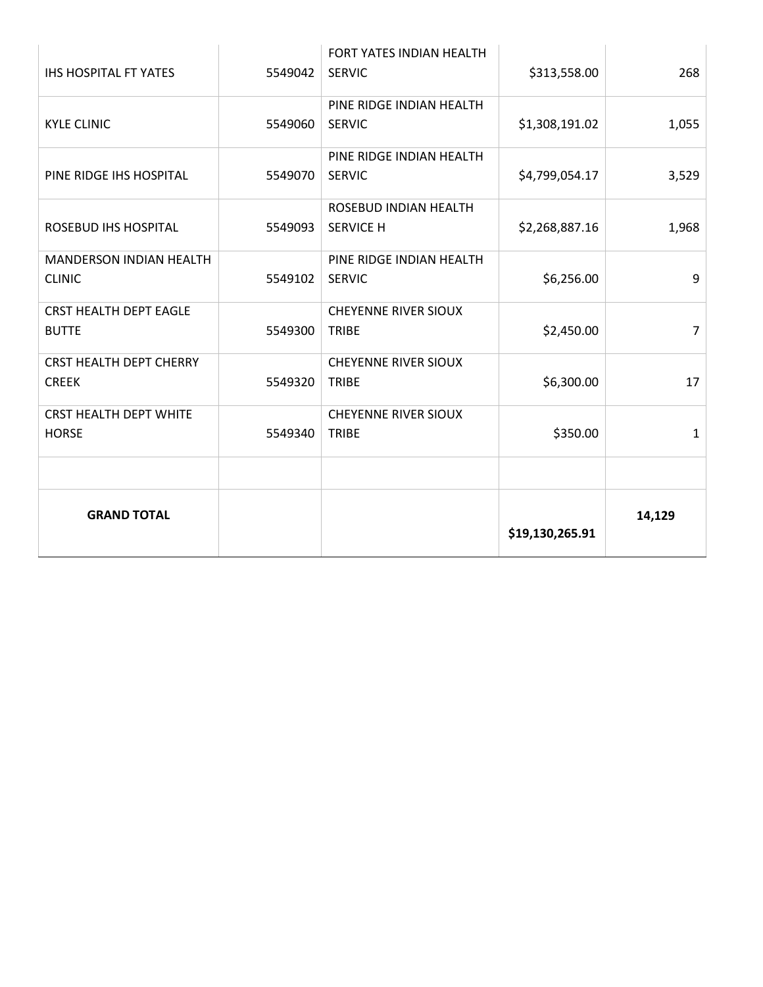| <b>IHS HOSPITAL FT YATES</b>                   | 5549042 | FORT YATES INDIAN HEALTH<br><b>SERVIC</b>   | \$313,558.00    | 268    |
|------------------------------------------------|---------|---------------------------------------------|-----------------|--------|
| <b>KYLE CLINIC</b>                             | 5549060 | PINE RIDGE INDIAN HEALTH<br><b>SERVIC</b>   | \$1,308,191.02  | 1,055  |
| PINE RIDGE IHS HOSPITAL                        | 5549070 | PINE RIDGE INDIAN HEALTH<br><b>SERVIC</b>   | \$4,799,054.17  | 3,529  |
| ROSEBUD IHS HOSPITAL                           | 5549093 | ROSEBUD INDIAN HEALTH<br><b>SERVICE H</b>   | \$2,268,887.16  | 1,968  |
| MANDERSON INDIAN HEALTH<br><b>CLINIC</b>       | 5549102 | PINE RIDGE INDIAN HEALTH<br><b>SERVIC</b>   | \$6,256.00      | 9      |
| <b>CRST HEALTH DEPT EAGLE</b><br><b>BUTTE</b>  | 5549300 | <b>CHEYENNE RIVER SIOUX</b><br><b>TRIBE</b> | \$2,450.00      | 7      |
| <b>CRST HEALTH DEPT CHERRY</b><br><b>CREEK</b> | 5549320 | <b>CHEYENNE RIVER SIOUX</b><br><b>TRIBE</b> | \$6,300.00      | 17     |
| <b>CRST HEALTH DEPT WHITE</b><br><b>HORSE</b>  | 5549340 | <b>CHEYENNE RIVER SIOUX</b><br><b>TRIBE</b> | \$350.00        | 1      |
|                                                |         |                                             |                 |        |
| <b>GRAND TOTAL</b>                             |         |                                             | \$19,130,265.91 | 14,129 |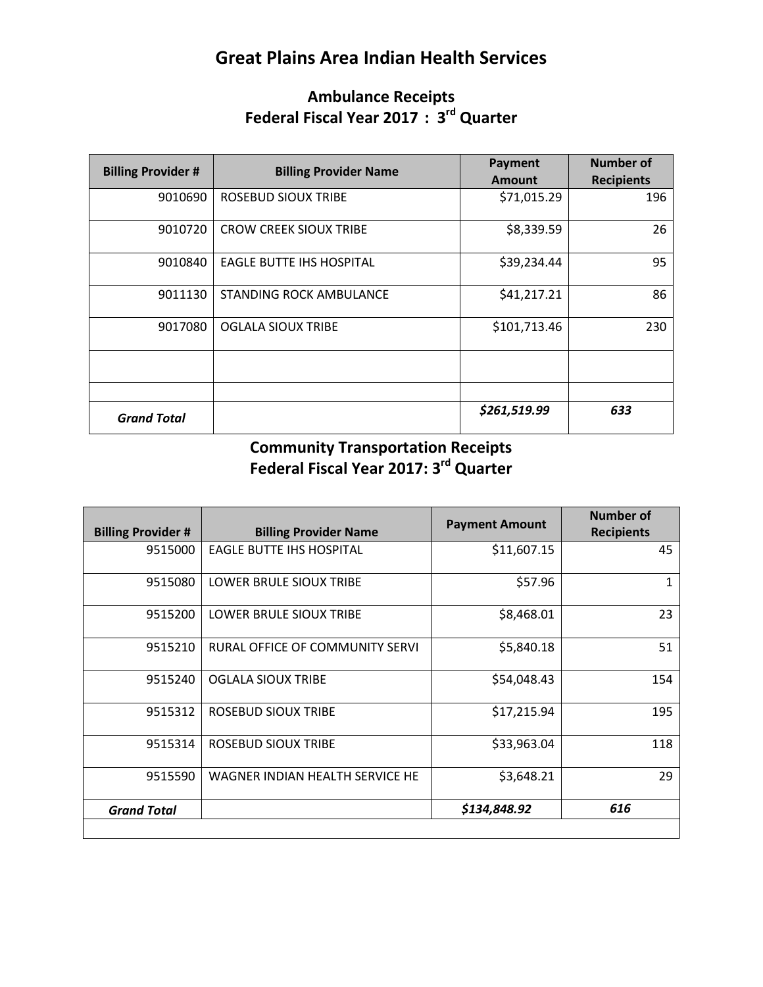# **Great Plains Area Indian Health Services**

#### **Ambulance Receipts Federal Fiscal Year 2017 : 3rd Quarter**

| <b>Billing Provider #</b> | <b>Billing Provider Name</b>  | Payment<br><b>Amount</b> | <b>Number of</b><br><b>Recipients</b> |
|---------------------------|-------------------------------|--------------------------|---------------------------------------|
| 9010690                   | <b>ROSEBUD SIOUX TRIBE</b>    | \$71,015.29              | 196                                   |
| 9010720                   | <b>CROW CREEK SIOUX TRIBE</b> | \$8,339.59               | 26                                    |
| 9010840                   | EAGLE BUTTE IHS HOSPITAL      | \$39,234.44              | 95                                    |
| 9011130                   | STANDING ROCK AMBULANCE       | \$41,217.21              | 86                                    |
| 9017080                   | <b>OGLALA SIOUX TRIBE</b>     | \$101,713.46             | 230                                   |
|                           |                               |                          |                                       |
|                           |                               |                          |                                       |
| <b>Grand Total</b>        |                               | \$261,519.99             | 633                                   |

#### **Community Transportation Receipts Federal Fiscal Year 2017: 3rd Quarter**

| <b>Billing Provider #</b> | <b>Billing Provider Name</b>    | <b>Payment Amount</b> | Number of<br><b>Recipients</b> |
|---------------------------|---------------------------------|-----------------------|--------------------------------|
| 9515000                   | <b>EAGLE BUTTE IHS HOSPITAL</b> | \$11,607.15           | 45                             |
| 9515080                   | LOWER BRULE SIOUX TRIBE         | \$57.96               | 1                              |
| 9515200                   | LOWER BRULE SIOUX TRIBE         | \$8,468.01            | 23                             |
| 9515210                   | RURAL OFFICE OF COMMUNITY SERVI | \$5,840.18            | 51                             |
| 9515240                   | <b>OGLALA SIOUX TRIBE</b>       | \$54,048.43           | 154                            |
| 9515312                   | ROSEBUD SIOUX TRIBE             | \$17,215.94           | 195                            |
| 9515314                   | <b>ROSEBUD SIOUX TRIBE</b>      | \$33,963.04           | 118                            |
| 9515590                   | WAGNER INDIAN HEALTH SERVICE HE | \$3,648.21            | 29                             |
| <b>Grand Total</b>        |                                 | \$134,848.92          | 616                            |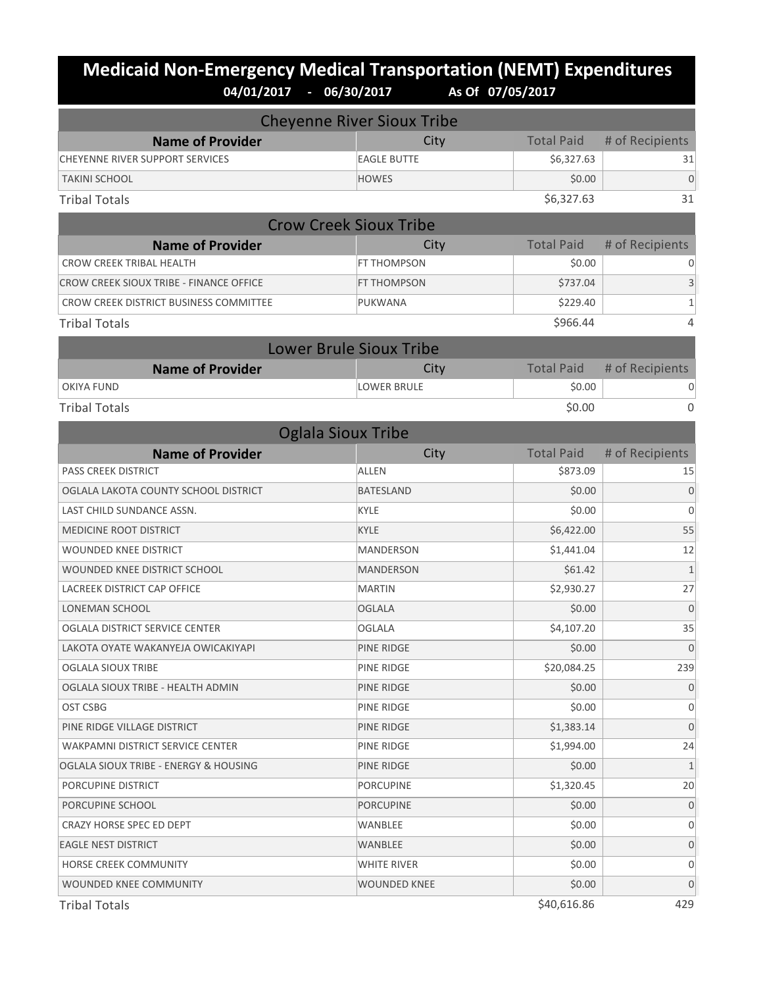# **Medicaid Non-Emergency Medical Transportation (NEMT) Expenditures**<br>04/01/2017 - 06/30/2017 As of 07/05/2017 **04/01/2017 - 06/30/2017 As Of 07/05/2017**

| <b>Cheyenne River Sioux Tribe</b>       |                                |                   |                 |  |
|-----------------------------------------|--------------------------------|-------------------|-----------------|--|
| <b>Name of Provider</b>                 | City                           | <b>Total Paid</b> | # of Recipients |  |
| CHEYENNE RIVER SUPPORT SERVICES         | <b>EAGLE BUTTE</b>             | \$6,327.63        | 31              |  |
| <b>TAKINI SCHOOL</b>                    | <b>HOWES</b>                   | \$0.00            | $\Omega$        |  |
| <b>Tribal Totals</b>                    |                                | \$6,327.63        | 31              |  |
|                                         | <b>Crow Creek Sioux Tribe</b>  |                   |                 |  |
| <b>Name of Provider</b>                 | City                           | <b>Total Paid</b> | # of Recipients |  |
| <b>CROW CREEK TRIBAL HEALTH</b>         | FT THOMPSON                    | \$0.00            | 0               |  |
| CROW CREEK SIOUX TRIBE - FINANCE OFFICE | FT THOMPSON                    | \$737.04          | 3               |  |
| CROW CREEK DISTRICT BUSINESS COMMITTEE  | PUKWANA                        | \$229.40          | $\mathbf{1}$    |  |
| <b>Tribal Totals</b>                    |                                | \$966.44          | $\overline{4}$  |  |
|                                         | <b>Lower Brule Sioux Tribe</b> |                   |                 |  |
| <b>Name of Provider</b>                 | City                           | <b>Total Paid</b> | # of Recipients |  |
| <b>OKIYA FUND</b>                       | <b>LOWER BRULE</b>             | \$0.00            | 0               |  |
| <b>Tribal Totals</b>                    |                                | \$0.00            | $\overline{0}$  |  |
|                                         | <b>Oglala Sioux Tribe</b>      |                   |                 |  |
| <b>Name of Provider</b>                 | City                           | <b>Total Paid</b> | # of Recipients |  |
| <b>PASS CREEK DISTRICT</b>              | <b>ALLEN</b>                   | \$873.09          | 15              |  |
| OGLALA LAKOTA COUNTY SCHOOL DISTRICT    | <b>BATESLAND</b>               | \$0.00            | $\mathbf{0}$    |  |
| LAST CHILD SUNDANCE ASSN.               | <b>KYLE</b>                    | \$0.00            | $\Omega$        |  |
| MEDICINE ROOT DISTRICT                  | <b>KYLE</b>                    | \$6,422.00        | 55              |  |
| <b>WOUNDED KNEE DISTRICT</b>            | MANDERSON                      | \$1,441.04        | 12              |  |
| WOUNDED KNEE DISTRICT SCHOOL            | <b>MANDERSON</b>               | \$61.42           | $\mathbf{1}$    |  |
| LACREEK DISTRICT CAP OFFICE             | <b>MARTIN</b>                  | \$2,930.27        | 27              |  |
| LONEMAN SCHOOL                          | <b>OGLALA</b>                  | \$0.00            | $\overline{0}$  |  |
| OGLALA DISTRICT SERVICE CENTER          | <b>OGLALA</b>                  | \$4,107.20        | 35              |  |
| LAKOTA OYATE WAKANYEJA OWICAKIYAPI      | <b>PINE RIDGE</b>              | \$0.00            | $\overline{0}$  |  |
| <b>OGLALA SIOUX TRIBE</b>               | PINE RIDGE                     | \$20,084.25       | 239             |  |
| OGLALA SIOUX TRIBE - HEALTH ADMIN       | PINE RIDGE                     | \$0.00            | $\mathbf 0$     |  |
| OST CSBG                                | PINE RIDGE                     | \$0.00            | $\mathbf{0}$    |  |
| PINE RIDGE VILLAGE DISTRICT             | PINE RIDGE                     | \$1,383.14        | $\Omega$        |  |
| WAKPAMNI DISTRICT SERVICE CENTER        | PINE RIDGE                     | \$1,994.00        | 24              |  |
| OGLALA SIOUX TRIBE - ENERGY & HOUSING   | PINE RIDGE                     | \$0.00            | $\mathbf{1}$    |  |
| PORCUPINE DISTRICT                      | <b>PORCUPINE</b>               | \$1,320.45        | 20              |  |
| PORCUPINE SCHOOL                        | <b>PORCUPINE</b>               | \$0.00            | $\mathbf{0}$    |  |
| CRAZY HORSE SPEC ED DEPT                | WANBLEE                        | \$0.00            | $\mathbf 0$     |  |
| EAGLE NEST DISTRICT                     | WANBLEE                        | \$0.00            | $\mathbf{0}$    |  |
| HORSE CREEK COMMUNITY                   | WHITE RIVER                    | \$0.00            | $\mathbf{0}$    |  |
| WOUNDED KNEE COMMUNITY                  | WOUNDED KNEE                   | \$0.00            | $\Omega$        |  |
|                                         |                                |                   |                 |  |

 $\text{Tribal Totals} \quad 429$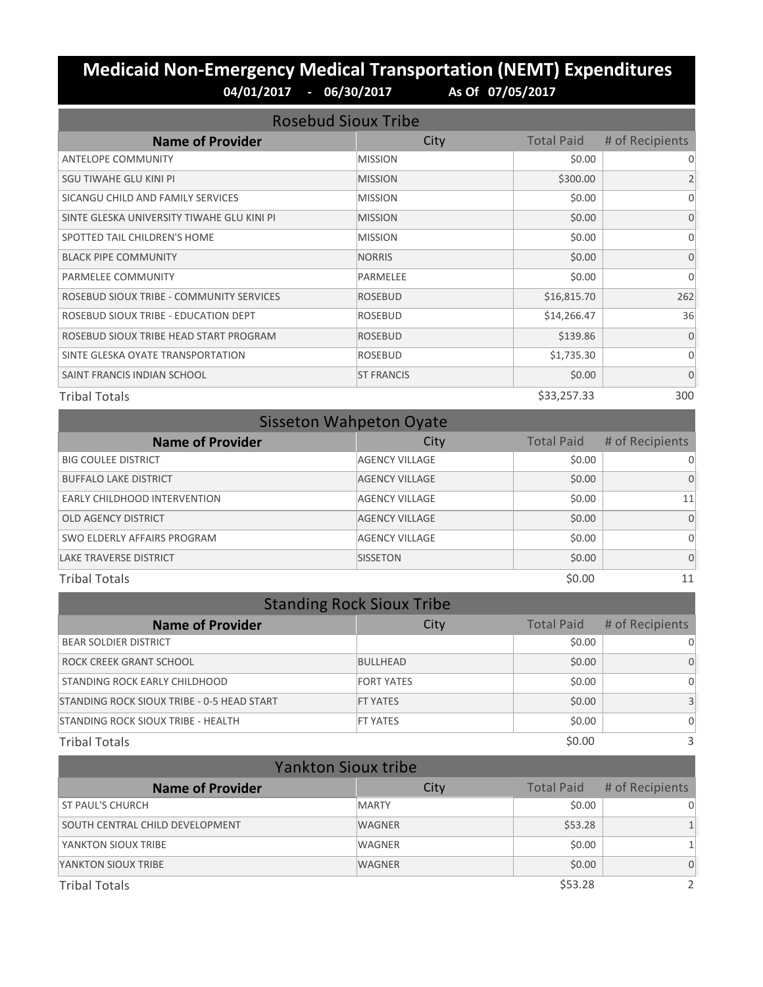#### **Medicaid Non-Emergency Medical Transportation (NEMT) Expenditures 04/01/2017 - 06/30/2017 As Of 07/05/2017**

| <b>Rosebud Sioux Tribe</b>                 |                   |                   |                 |
|--------------------------------------------|-------------------|-------------------|-----------------|
| <b>Name of Provider</b>                    | City              | <b>Total Paid</b> | # of Recipients |
| <b>ANTELOPE COMMUNITY</b>                  | <b>MISSION</b>    | \$0.00            | 0               |
| SGU TIWAHE GLU KINI PI                     | <b>MISSION</b>    | \$300.00          | $\overline{2}$  |
| SICANGU CHILD AND FAMILY SERVICES          | <b>MISSION</b>    | \$0.00            | $\Omega$        |
| SINTE GLESKA UNIVERSITY TIWAHE GLU KINI PI | <b>MISSION</b>    | \$0.00            | $\Omega$        |
| SPOTTED TAIL CHILDREN'S HOME               | <b>MISSION</b>    | \$0.00            | $\Omega$        |
| <b>BLACK PIPE COMMUNITY</b>                | <b>NORRIS</b>     | \$0.00            | $\Omega$        |
| PARMELEE COMMUNITY                         | PARMELEE          | \$0.00            | $\Omega$        |
| ROSEBUD SIOUX TRIBE - COMMUNITY SERVICES   | <b>ROSEBUD</b>    | \$16,815.70       | 262             |
| ROSEBUD SIOUX TRIBE - EDUCATION DEPT       | <b>ROSEBUD</b>    | \$14,266.47       | 36              |
| ROSEBUD SIOUX TRIBE HEAD START PROGRAM     | <b>ROSEBUD</b>    | \$139.86          | $\Omega$        |
| SINTE GLESKA OYATE TRANSPORTATION          | <b>ROSEBUD</b>    | \$1,735.30        | $\Omega$        |
| SAINT FRANCIS INDIAN SCHOOL                | <b>ST FRANCIS</b> | \$0.00            | $\mathbf{0}$    |
| <b>Tribal Totals</b>                       |                   | \$33,257.33       | 300             |

| <b>Sisseton Wahpeton Oyate</b> |                       |                   |                 |  |
|--------------------------------|-----------------------|-------------------|-----------------|--|
| <b>Name of Provider</b>        | City                  | <b>Total Paid</b> | # of Recipients |  |
| <b>BIG COULEE DISTRICT</b>     | <b>AGENCY VILLAGE</b> | \$0.00            | 0               |  |
| <b>BUFFALO LAKE DISTRICT</b>   | <b>AGENCY VILLAGE</b> | \$0.00            | $\Omega$        |  |
| EARLY CHILDHOOD INTERVENTION   | <b>AGENCY VILLAGE</b> | \$0.00            | 11              |  |
| <b>OLD AGENCY DISTRICT</b>     | <b>AGENCY VILLAGE</b> | \$0.00            | $\Omega$        |  |
| SWO ELDERLY AFFAIRS PROGRAM    | <b>AGENCY VILLAGE</b> | \$0.00            | $\Omega$        |  |
| <b>LAKE TRAVERSE DISTRICT</b>  | <b>SISSETON</b>       | \$0.00            | $\Omega$        |  |
| \$0.00<br><b>Tribal Totals</b> |                       |                   | 11              |  |

| <b>Standing Rock Sioux Tribe</b>           |                   |                   |                 |
|--------------------------------------------|-------------------|-------------------|-----------------|
| <b>Name of Provider</b>                    | City              | <b>Total Paid</b> | # of Recipients |
| <b>BEAR SOLDIER DISTRICT</b>               |                   | \$0.00            | $\Omega$        |
| ROCK CREEK GRANT SCHOOL                    | <b>BULLHEAD</b>   | \$0.00            | $\Omega$        |
| STANDING ROCK EARLY CHILDHOOD              | <b>FORT YATES</b> | \$0.00            | $\Omega$        |
| STANDING ROCK SIOUX TRIBE - 0-5 HEAD START | <b>FT YATES</b>   | \$0.00            |                 |
| STANDING ROCK SIOUX TRIBE - HEALTH         | <b>FT YATES</b>   | \$0.00            | $\Omega$        |
| <b>Tribal Totals</b>                       |                   | \$0.00            | 3               |

| <b>Yankton Sioux tribe</b>      |               |                   |                 |
|---------------------------------|---------------|-------------------|-----------------|
| <b>Name of Provider</b>         | City          | <b>Total Paid</b> | # of Recipients |
| <b>ST PAUL'S CHURCH</b>         | <b>MARTY</b>  | \$0.00            | $\Omega$        |
| SOUTH CENTRAL CHILD DEVELOPMENT | <b>WAGNER</b> | \$53.28           |                 |
| YANKTON SIOUX TRIBE             | <b>WAGNER</b> | \$0.00            |                 |
| YANKTON SIOUX TRIBE             | <b>WAGNER</b> | \$0.00            | $\Omega$        |
| <b>Tribal Totals</b>            |               | \$53.28           |                 |